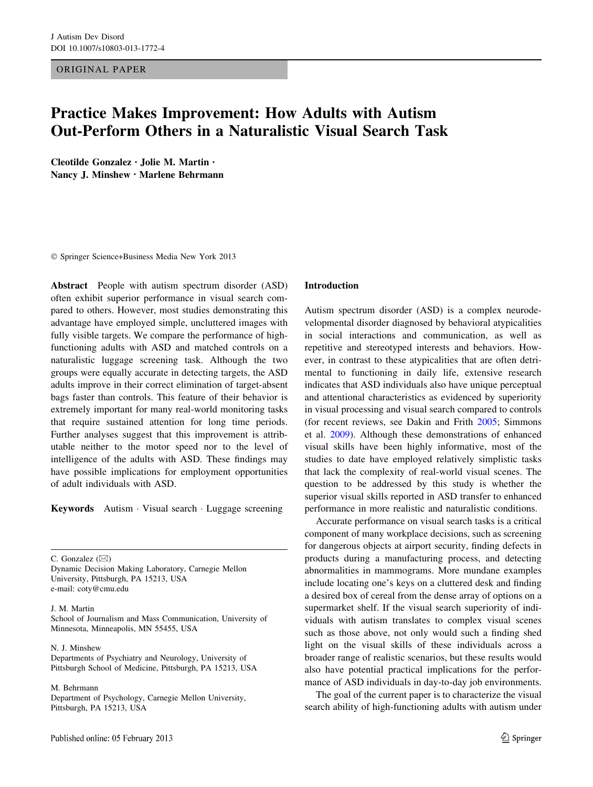ORIGINAL PAPER

# Practice Makes Improvement: How Adults with Autism Out-Perform Others in a Naturalistic Visual Search Task

Cleotilde Gonzalez • Jolie M. Martin • Nancy J. Minshew • Marlene Behrmann

- Springer Science+Business Media New York 2013

Abstract People with autism spectrum disorder (ASD) often exhibit superior performance in visual search compared to others. However, most studies demonstrating this advantage have employed simple, uncluttered images with fully visible targets. We compare the performance of highfunctioning adults with ASD and matched controls on a naturalistic luggage screening task. Although the two groups were equally accurate in detecting targets, the ASD adults improve in their correct elimination of target-absent bags faster than controls. This feature of their behavior is extremely important for many real-world monitoring tasks that require sustained attention for long time periods. Further analyses suggest that this improvement is attributable neither to the motor speed nor to the level of intelligence of the adults with ASD. These findings may have possible implications for employment opportunities of adult individuals with ASD.

Keywords Autism · Visual search · Luggage screening

C. Gonzalez  $(\boxtimes)$ 

Dynamic Decision Making Laboratory, Carnegie Mellon University, Pittsburgh, PA 15213, USA e-mail: coty@cmu.edu

J. M. Martin

School of Journalism and Mass Communication, University of Minnesota, Minneapolis, MN 55455, USA

N. J. Minshew

Departments of Psychiatry and Neurology, University of Pittsburgh School of Medicine, Pittsburgh, PA 15213, USA

M. Behrmann

Department of Psychology, Carnegie Mellon University, Pittsburgh, PA 15213, USA

#### Introduction

Autism spectrum disorder (ASD) is a complex neurodevelopmental disorder diagnosed by behavioral atypicalities in social interactions and communication, as well as repetitive and stereotyped interests and behaviors. However, in contrast to these atypicalities that are often detrimental to functioning in daily life, extensive research indicates that ASD individuals also have unique perceptual and attentional characteristics as evidenced by superiority in visual processing and visual search compared to controls (for recent reviews, see Dakin and Frith [2005;](#page-8-0) Simmons et al. [2009\)](#page-9-0). Although these demonstrations of enhanced visual skills have been highly informative, most of the studies to date have employed relatively simplistic tasks that lack the complexity of real-world visual scenes. The question to be addressed by this study is whether the superior visual skills reported in ASD transfer to enhanced performance in more realistic and naturalistic conditions.

Accurate performance on visual search tasks is a critical component of many workplace decisions, such as screening for dangerous objects at airport security, finding defects in products during a manufacturing process, and detecting abnormalities in mammograms. More mundane examples include locating one's keys on a cluttered desk and finding a desired box of cereal from the dense array of options on a supermarket shelf. If the visual search superiority of individuals with autism translates to complex visual scenes such as those above, not only would such a finding shed light on the visual skills of these individuals across a broader range of realistic scenarios, but these results would also have potential practical implications for the performance of ASD individuals in day-to-day job environments.

The goal of the current paper is to characterize the visual search ability of high-functioning adults with autism under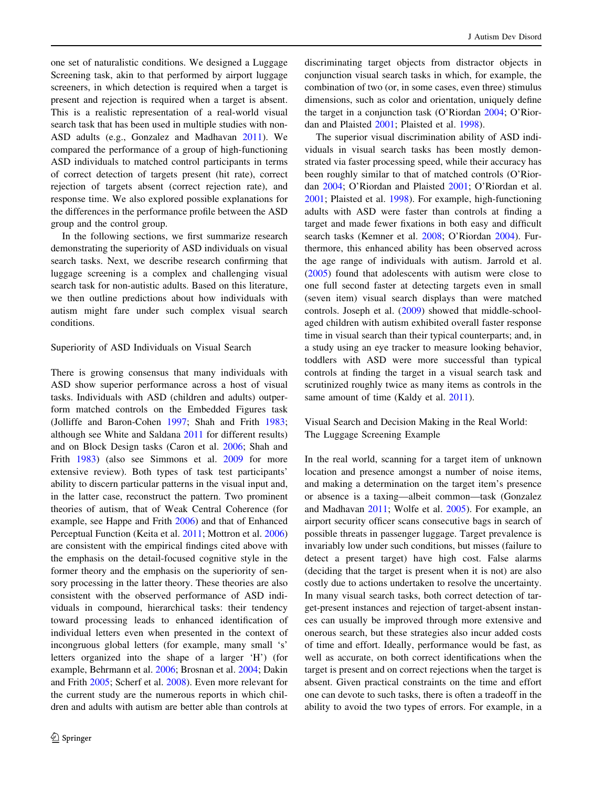one set of naturalistic conditions. We designed a Luggage Screening task, akin to that performed by airport luggage screeners, in which detection is required when a target is present and rejection is required when a target is absent. This is a realistic representation of a real-world visual search task that has been used in multiple studies with non-ASD adults (e.g., Gonzalez and Madhavan [2011\)](#page-9-0). We compared the performance of a group of high-functioning ASD individuals to matched control participants in terms of correct detection of targets present (hit rate), correct rejection of targets absent (correct rejection rate), and response time. We also explored possible explanations for the differences in the performance profile between the ASD group and the control group.

In the following sections, we first summarize research demonstrating the superiority of ASD individuals on visual search tasks. Next, we describe research confirming that luggage screening is a complex and challenging visual search task for non-autistic adults. Based on this literature, we then outline predictions about how individuals with autism might fare under such complex visual search conditions.

## Superiority of ASD Individuals on Visual Search

There is growing consensus that many individuals with ASD show superior performance across a host of visual tasks. Individuals with ASD (children and adults) outperform matched controls on the Embedded Figures task (Jolliffe and Baron-Cohen [1997;](#page-9-0) Shah and Frith [1983](#page-9-0); although see White and Saldana [2011](#page-9-0) for different results) and on Block Design tasks (Caron et al. [2006](#page-8-0); Shah and Frith [1983\)](#page-9-0) (also see Simmons et al. [2009](#page-9-0) for more extensive review). Both types of task test participants' ability to discern particular patterns in the visual input and, in the latter case, reconstruct the pattern. Two prominent theories of autism, that of Weak Central Coherence (for example, see Happe and Frith [2006\)](#page-9-0) and that of Enhanced Perceptual Function (Keita et al. [2011](#page-9-0); Mottron et al. [2006\)](#page-9-0) are consistent with the empirical findings cited above with the emphasis on the detail-focused cognitive style in the former theory and the emphasis on the superiority of sensory processing in the latter theory. These theories are also consistent with the observed performance of ASD individuals in compound, hierarchical tasks: their tendency toward processing leads to enhanced identification of individual letters even when presented in the context of incongruous global letters (for example, many small 's' letters organized into the shape of a larger 'H') (for example, Behrmann et al. [2006](#page-8-0); Brosnan et al. [2004](#page-8-0); Dakin and Frith [2005](#page-8-0); Scherf et al. [2008](#page-9-0)). Even more relevant for the current study are the numerous reports in which children and adults with autism are better able than controls at discriminating target objects from distractor objects in conjunction visual search tasks in which, for example, the combination of two (or, in some cases, even three) stimulus dimensions, such as color and orientation, uniquely define the target in a conjunction task (O'Riordan [2004](#page-9-0); O'Riordan and Plaisted [2001;](#page-9-0) Plaisted et al. [1998](#page-9-0)).

The superior visual discrimination ability of ASD individuals in visual search tasks has been mostly demonstrated via faster processing speed, while their accuracy has been roughly similar to that of matched controls (O'Riordan [2004](#page-9-0); O'Riordan and Plaisted [2001;](#page-9-0) O'Riordan et al. [2001](#page-9-0); Plaisted et al. [1998\)](#page-9-0). For example, high-functioning adults with ASD were faster than controls at finding a target and made fewer fixations in both easy and difficult search tasks (Kemner et al. [2008;](#page-9-0) O'Riordan [2004](#page-9-0)). Furthermore, this enhanced ability has been observed across the age range of individuals with autism. Jarrold et al. [\(2005](#page-9-0)) found that adolescents with autism were close to one full second faster at detecting targets even in small (seven item) visual search displays than were matched controls. Joseph et al. [\(2009](#page-9-0)) showed that middle-schoolaged children with autism exhibited overall faster response time in visual search than their typical counterparts; and, in a study using an eye tracker to measure looking behavior, toddlers with ASD were more successful than typical controls at finding the target in a visual search task and scrutinized roughly twice as many items as controls in the same amount of time (Kaldy et al. [2011](#page-9-0)).

Visual Search and Decision Making in the Real World: The Luggage Screening Example

In the real world, scanning for a target item of unknown location and presence amongst a number of noise items, and making a determination on the target item's presence or absence is a taxing—albeit common—task (Gonzalez and Madhavan [2011;](#page-9-0) Wolfe et al. [2005](#page-9-0)). For example, an airport security officer scans consecutive bags in search of possible threats in passenger luggage. Target prevalence is invariably low under such conditions, but misses (failure to detect a present target) have high cost. False alarms (deciding that the target is present when it is not) are also costly due to actions undertaken to resolve the uncertainty. In many visual search tasks, both correct detection of target-present instances and rejection of target-absent instances can usually be improved through more extensive and onerous search, but these strategies also incur added costs of time and effort. Ideally, performance would be fast, as well as accurate, on both correct identifications when the target is present and on correct rejections when the target is absent. Given practical constraints on the time and effort one can devote to such tasks, there is often a tradeoff in the ability to avoid the two types of errors. For example, in a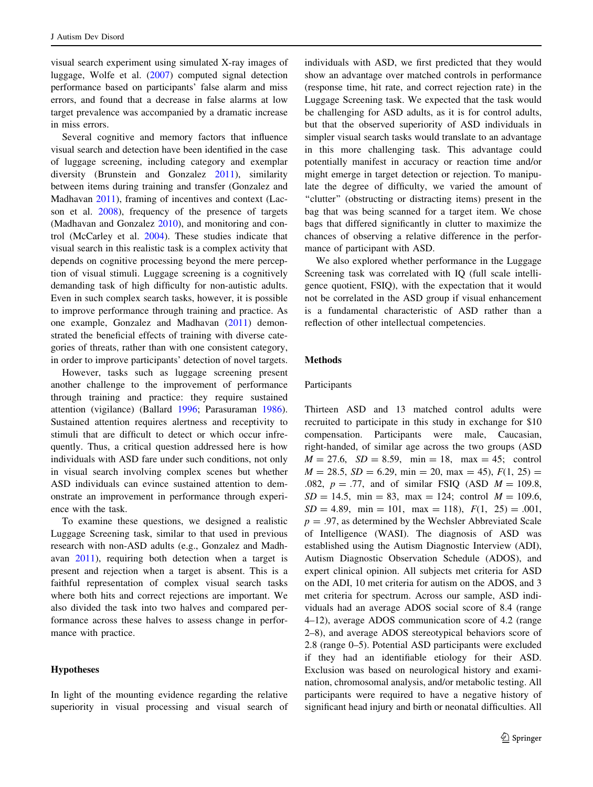visual search experiment using simulated X-ray images of luggage, Wolfe et al. ([2007\)](#page-9-0) computed signal detection performance based on participants' false alarm and miss errors, and found that a decrease in false alarms at low target prevalence was accompanied by a dramatic increase in miss errors.

Several cognitive and memory factors that influence visual search and detection have been identified in the case of luggage screening, including category and exemplar diversity (Brunstein and Gonzalez [2011\)](#page-8-0), similarity between items during training and transfer (Gonzalez and Madhavan [2011\)](#page-9-0), framing of incentives and context (Lacson et al. [2008\)](#page-9-0), frequency of the presence of targets (Madhavan and Gonzalez [2010\)](#page-9-0), and monitoring and control (McCarley et al. [2004](#page-9-0)). These studies indicate that visual search in this realistic task is a complex activity that depends on cognitive processing beyond the mere perception of visual stimuli. Luggage screening is a cognitively demanding task of high difficulty for non-autistic adults. Even in such complex search tasks, however, it is possible to improve performance through training and practice. As one example, Gonzalez and Madhavan [\(2011](#page-9-0)) demonstrated the beneficial effects of training with diverse categories of threats, rather than with one consistent category, in order to improve participants' detection of novel targets.

However, tasks such as luggage screening present another challenge to the improvement of performance through training and practice: they require sustained attention (vigilance) (Ballard [1996](#page-8-0); Parasuraman [1986](#page-9-0)). Sustained attention requires alertness and receptivity to stimuli that are difficult to detect or which occur infrequently. Thus, a critical question addressed here is how individuals with ASD fare under such conditions, not only in visual search involving complex scenes but whether ASD individuals can evince sustained attention to demonstrate an improvement in performance through experience with the task.

To examine these questions, we designed a realistic Luggage Screening task, similar to that used in previous research with non-ASD adults (e.g., Gonzalez and Madhavan [2011\)](#page-9-0), requiring both detection when a target is present and rejection when a target is absent. This is a faithful representation of complex visual search tasks where both hits and correct rejections are important. We also divided the task into two halves and compared performance across these halves to assess change in performance with practice.

# Hypotheses

In light of the mounting evidence regarding the relative superiority in visual processing and visual search of individuals with ASD, we first predicted that they would show an advantage over matched controls in performance (response time, hit rate, and correct rejection rate) in the Luggage Screening task. We expected that the task would be challenging for ASD adults, as it is for control adults, but that the observed superiority of ASD individuals in simpler visual search tasks would translate to an advantage in this more challenging task. This advantage could potentially manifest in accuracy or reaction time and/or might emerge in target detection or rejection. To manipulate the degree of difficulty, we varied the amount of ''clutter'' (obstructing or distracting items) present in the bag that was being scanned for a target item. We chose bags that differed significantly in clutter to maximize the chances of observing a relative difference in the performance of participant with ASD.

We also explored whether performance in the Luggage Screening task was correlated with IQ (full scale intelligence quotient, FSIQ), with the expectation that it would not be correlated in the ASD group if visual enhancement is a fundamental characteristic of ASD rather than a reflection of other intellectual competencies.

#### Methods

# Participants

Thirteen ASD and 13 matched control adults were recruited to participate in this study in exchange for \$10 compensation. Participants were male, Caucasian, right-handed, of similar age across the two groups (ASD  $M = 27.6$ ,  $SD = 8.59$ ,  $min = 18$ ,  $max = 45$ ; control  $M = 28.5$ ,  $SD = 6.29$ ,  $min = 20$ ,  $max = 45$ ),  $F(1, 25) =$ .082,  $p = .77$ , and of similar FSIQ (ASD  $M = 109.8$ ,  $SD = 14.5$ , min = 83, max = 124; control  $M = 109.6$ ,  $SD = 4.89$ , min = 101, max = 118),  $F(1, 25) = .001$ ,  $p = .97$ , as determined by the Wechsler Abbreviated Scale of Intelligence (WASI). The diagnosis of ASD was established using the Autism Diagnostic Interview (ADI), Autism Diagnostic Observation Schedule (ADOS), and expert clinical opinion. All subjects met criteria for ASD on the ADI, 10 met criteria for autism on the ADOS, and 3 met criteria for spectrum. Across our sample, ASD individuals had an average ADOS social score of 8.4 (range 4–12), average ADOS communication score of 4.2 (range 2–8), and average ADOS stereotypical behaviors score of 2.8 (range 0–5). Potential ASD participants were excluded if they had an identifiable etiology for their ASD. Exclusion was based on neurological history and examination, chromosomal analysis, and/or metabolic testing. All participants were required to have a negative history of significant head injury and birth or neonatal difficulties. All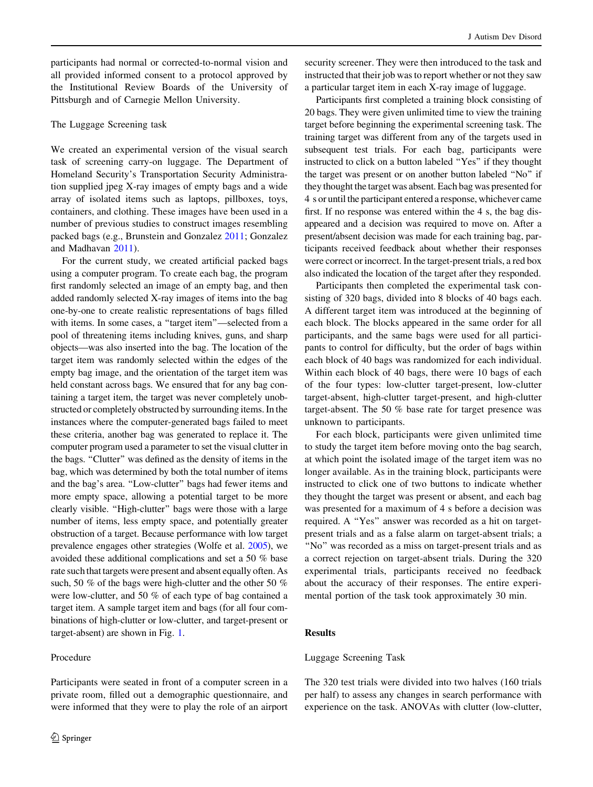participants had normal or corrected-to-normal vision and all provided informed consent to a protocol approved by the Institutional Review Boards of the University of Pittsburgh and of Carnegie Mellon University.

# The Luggage Screening task

We created an experimental version of the visual search task of screening carry-on luggage. The Department of Homeland Security's Transportation Security Administration supplied jpeg X-ray images of empty bags and a wide array of isolated items such as laptops, pillboxes, toys, containers, and clothing. These images have been used in a number of previous studies to construct images resembling packed bags (e.g., Brunstein and Gonzalez [2011;](#page-8-0) Gonzalez and Madhavan [2011](#page-9-0)).

For the current study, we created artificial packed bags using a computer program. To create each bag, the program first randomly selected an image of an empty bag, and then added randomly selected X-ray images of items into the bag one-by-one to create realistic representations of bags filled with items. In some cases, a "target item"—selected from a pool of threatening items including knives, guns, and sharp objects—was also inserted into the bag. The location of the target item was randomly selected within the edges of the empty bag image, and the orientation of the target item was held constant across bags. We ensured that for any bag containing a target item, the target was never completely unobstructed or completely obstructed by surrounding items. In the instances where the computer-generated bags failed to meet these criteria, another bag was generated to replace it. The computer program used a parameter to set the visual clutter in the bags. ''Clutter'' was defined as the density of items in the bag, which was determined by both the total number of items and the bag's area. ''Low-clutter'' bags had fewer items and more empty space, allowing a potential target to be more clearly visible. "High-clutter" bags were those with a large number of items, less empty space, and potentially greater obstruction of a target. Because performance with low target prevalence engages other strategies (Wolfe et al. [2005\)](#page-9-0), we avoided these additional complications and set a 50 % base rate such that targets were present and absent equally often. As such, 50 % of the bags were high-clutter and the other 50 % were low-clutter, and 50 % of each type of bag contained a target item. A sample target item and bags (for all four combinations of high-clutter or low-clutter, and target-present or target-absent) are shown in Fig. [1](#page-4-0).

## Procedure

Participants were seated in front of a computer screen in a private room, filled out a demographic questionnaire, and were informed that they were to play the role of an airport

security screener. They were then introduced to the task and instructed that their job was to report whether or not they saw a particular target item in each X-ray image of luggage.

Participants first completed a training block consisting of 20 bags. They were given unlimited time to view the training target before beginning the experimental screening task. The training target was different from any of the targets used in subsequent test trials. For each bag, participants were instructed to click on a button labeled ''Yes'' if they thought the target was present or on another button labeled ''No'' if they thought the target was absent. Each bag was presented for 4 s or until the participant entered a response, whichever came first. If no response was entered within the 4 s, the bag disappeared and a decision was required to move on. After a present/absent decision was made for each training bag, participants received feedback about whether their responses were correct or incorrect. In the target-present trials, a red box also indicated the location of the target after they responded.

Participants then completed the experimental task consisting of 320 bags, divided into 8 blocks of 40 bags each. A different target item was introduced at the beginning of each block. The blocks appeared in the same order for all participants, and the same bags were used for all participants to control for difficulty, but the order of bags within each block of 40 bags was randomized for each individual. Within each block of 40 bags, there were 10 bags of each of the four types: low-clutter target-present, low-clutter target-absent, high-clutter target-present, and high-clutter target-absent. The 50 % base rate for target presence was unknown to participants.

For each block, participants were given unlimited time to study the target item before moving onto the bag search, at which point the isolated image of the target item was no longer available. As in the training block, participants were instructed to click one of two buttons to indicate whether they thought the target was present or absent, and each bag was presented for a maximum of 4 s before a decision was required. A ''Yes'' answer was recorded as a hit on targetpresent trials and as a false alarm on target-absent trials; a ''No'' was recorded as a miss on target-present trials and as a correct rejection on target-absent trials. During the 320 experimental trials, participants received no feedback about the accuracy of their responses. The entire experimental portion of the task took approximately 30 min.

## **Results**

#### Luggage Screening Task

The 320 test trials were divided into two halves (160 trials per half) to assess any changes in search performance with experience on the task. ANOVAs with clutter (low-clutter,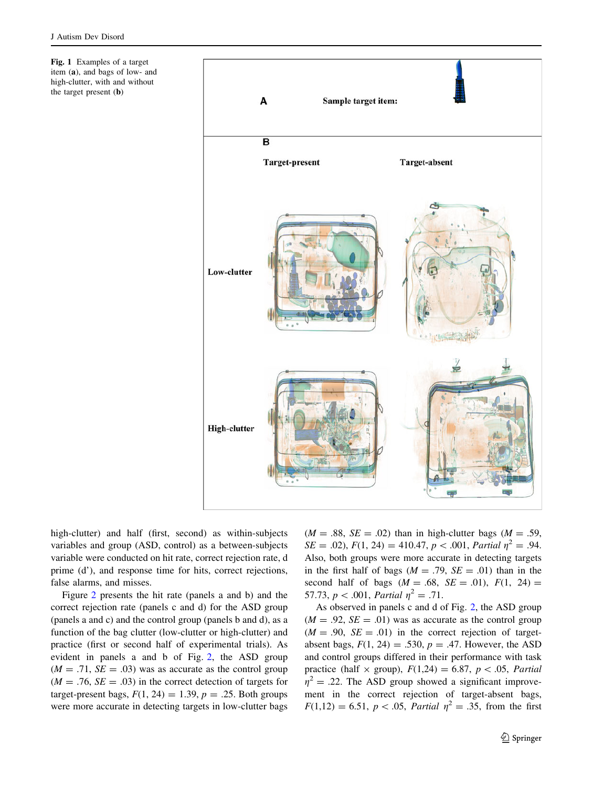<span id="page-4-0"></span>Fig. 1 Examples of a target item (a), and bags of low- and high-clutter, with and without the target present (b)



high-clutter) and half (first, second) as within-subjects variables and group (ASD, control) as a between-subjects variable were conducted on hit rate, correct rejection rate, d prime (d'), and response time for hits, correct rejections, false alarms, and misses.

Figure [2](#page-5-0) presents the hit rate (panels a and b) and the correct rejection rate (panels c and d) for the ASD group (panels a and c) and the control group (panels b and d), as a function of the bag clutter (low-clutter or high-clutter) and practice (first or second half of experimental trials). As evident in panels a and b of Fig. [2,](#page-5-0) the ASD group  $(M = .71, SE = .03)$  was as accurate as the control group  $(M = .76, SE = .03)$  in the correct detection of targets for target-present bags,  $F(1, 24) = 1.39$ ,  $p = .25$ . Both groups were more accurate in detecting targets in low-clutter bags  $(M = .88, SE = .02)$  than in high-clutter bags  $(M = .59,$  $SE = .02$ ,  $F(1, 24) = 410.47, p < .001$ , Partial  $\eta^2 = .94$ . Also, both groups were more accurate in detecting targets in the first half of bags ( $M = .79$ ,  $SE = .01$ ) than in the second half of bags ( $M = .68$ ,  $SE = .01$ ),  $F(1, 24) =$ 57.73,  $p < .001$ , Partial  $\eta^2 = .71$ .

As observed in panels c and d of Fig. [2,](#page-5-0) the ASD group  $(M = .92, SE = .01)$  was as accurate as the control group  $(M = .90, SE = .01)$  in the correct rejection of targetabsent bags,  $F(1, 24) = .530$ ,  $p = .47$ . However, the ASD and control groups differed in their performance with task practice (half  $\times$  group),  $F(1,24) = 6.87$ ,  $p \lt .05$ , Partial  $\eta^2$  = .22. The ASD group showed a significant improvement in the correct rejection of target-absent bags,  $F(1,12) = 6.51, p < .05, Partial \eta^2 = .35, from the first$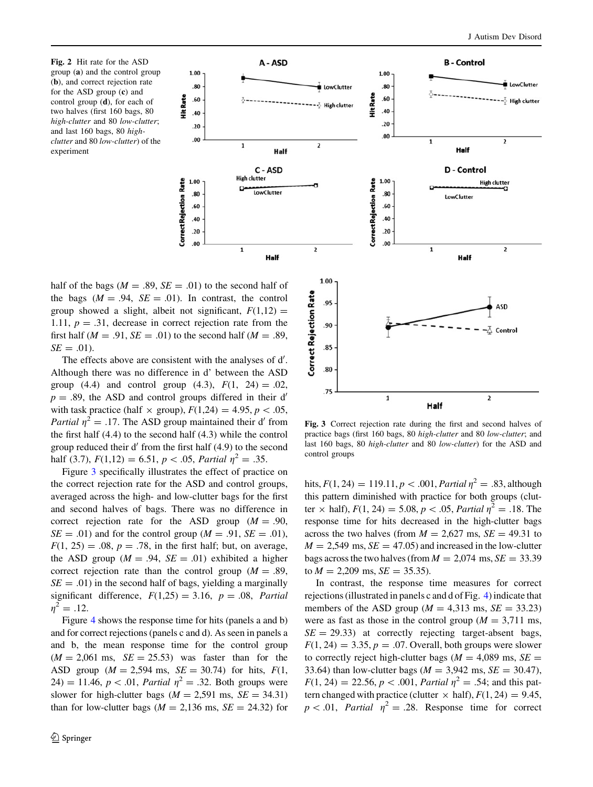<span id="page-5-0"></span>Fig. 2 Hit rate for the ASD group (a) and the control group (b), and correct rejection rate for the ASD group (c) and control group (d), for each of two halves (first 160 bags, 80 high-clutter and 80 low-clutter; and last 160 bags, 80 highclutter and 80 low-clutter) of the experiment



 $.85$ 

 $.80$ 

 $.75$ 

half of the bags ( $M = .89$ ,  $SE = .01$ ) to the second half of the bags  $(M = .94, SE = .01)$ . In contrast, the control group showed a slight, albeit not significant,  $F(1,12) =$ 1.11,  $p = .31$ , decrease in correct rejection rate from the first half  $(M = .91, SE = .01)$  to the second half  $(M = .89,$  $SE = .01$ ).

**Hit Rate** 

**Correct Rejection Rate** 

The effects above are consistent with the analyses of  $d'$ . Although there was no difference in d' between the ASD group (4.4) and control group (4.3),  $F(1, 24) = .02$ ,  $p = .89$ , the ASD and control groups differed in their d' with task practice (half  $\times$  group),  $F(1,24) = 4.95, p < .05$ , *Partial*  $\eta^2 = .17$ . The ASD group maintained their d' from the first half (4.4) to the second half (4.3) while the control group reduced their  $d'$  from the first half  $(4.9)$  to the second half (3.7),  $F(1,12) = 6.51$ ,  $p < .05$ , Partial  $\eta^2 = .35$ .

Figure 3 specifically illustrates the effect of practice on the correct rejection rate for the ASD and control groups, averaged across the high- and low-clutter bags for the first and second halves of bags. There was no difference in correct rejection rate for the ASD group  $(M = .90, )$  $SE = .01$ ) and for the control group ( $M = .91$ ,  $SE = .01$ ),  $F(1, 25) = .08$ ,  $p = .78$ , in the first half; but, on average, the ASD group ( $M = .94$ ,  $SE = .01$ ) exhibited a higher correct rejection rate than the control group  $(M = .89)$ ,  $SE = .01$ ) in the second half of bags, yielding a marginally significant difference,  $F(1,25) = 3.16$ ,  $p = .08$ , *Partial*  $\eta^2 = .12$ .

Figure [4](#page-6-0) shows the response time for hits (panels a and b) and for correct rejections (panels c and d). As seen in panels a and b, the mean response time for the control group  $(M = 2,061 \text{ ms}, \text{ } SE = 25.53)$  was faster than for the ASD group ( $M = 2,594$  ms,  $SE = 30.74$ ) for hits,  $F(1, 1)$ 24) = 11.46,  $p < .01$ , *Partial*  $\eta^2 = .32$ . Both groups were slower for high-clutter bags ( $M = 2,591$  ms,  $SE = 34.31$ ) than for low-clutter bags ( $M = 2,136$  ms,  $SE = 24.32$ ) for

Fig. 3 Correct rejection rate during the first and second halves of practice bags (first 160 bags, 80 high-clutter and 80 low-clutter; and last 160 bags, 80 high-clutter and 80 low-clutter) for the ASD and control groups

Half

 $\overline{2}$ 

 $\mathbf{1}$ 

hits,  $F(1, 24) = 119.11, p < .001, Partial \eta^2 = .83$ , although this pattern diminished with practice for both groups (clutter  $\times$  half),  $F(1, 24) = 5.08, p < .05$ , *Partial*  $\eta^2 = .18$ . The response time for hits decreased in the high-clutter bags across the two halves (from  $M = 2{,}627$  ms,  $SE = 49.31$  to  $M = 2,549$  ms,  $SE = 47.05$ ) and increased in the low-clutter bags across the two halves (from  $M = 2,074$  ms,  $SE = 33.39$ to  $M = 2,209$  ms,  $SE = 35.35$ .

In contrast, the response time measures for correct rejections (illustrated in panels c and d of Fig. [4\)](#page-6-0) indicate that members of the ASD group ( $M = 4,313$  ms,  $SE = 33.23$ ) were as fast as those in the control group ( $M = 3,711$  ms,  $SE = 29.33$ ) at correctly rejecting target-absent bags,  $F(1, 24) = 3.35, p = .07$ . Overall, both groups were slower to correctly reject high-clutter bags ( $M = 4,089$  ms,  $SE =$ 33.64) than low-clutter bags ( $M = 3,942$  ms,  $SE = 30.47$ ),  $F(1, 24) = 22.56, p < .001, Partial \eta^2 = .54$ ; and this pattern changed with practice (clutter  $\times$  half),  $F(1, 24) = 9.45$ ,  $p\lt 0.01$ , Partial  $\eta^2 = 0.28$ . Response time for correct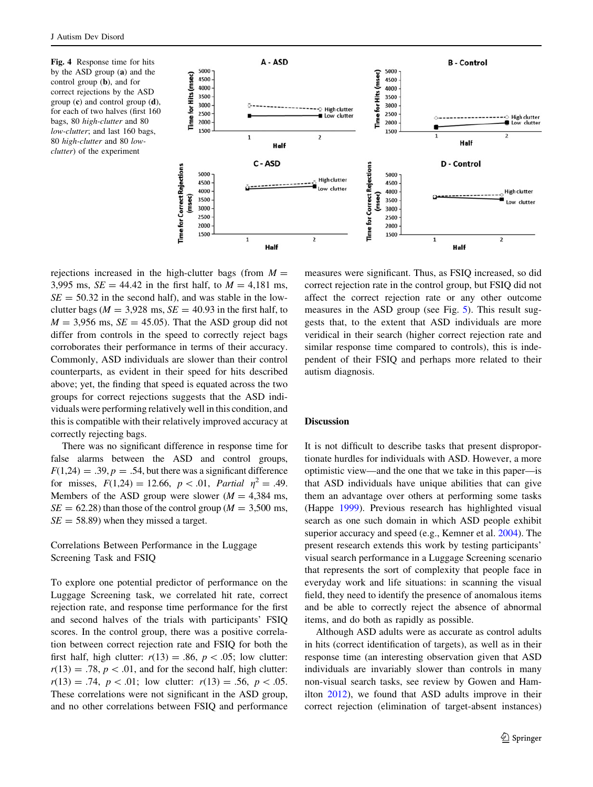<span id="page-6-0"></span>Fig. 4 Response time for hits by the ASD group (a) and the control group (b), and for correct rejections by the ASD group (c) and control group (d), for each of two halves (first 160 bags, 80 high-clutter and 80 low-clutter; and last 160 bags, 80 high-clutter and 80 lowclutter) of the experiment



rejections increased in the high-clutter bags (from  $M =$ 3,995 ms,  $SE = 44.42$  in the first half, to  $M = 4,181$  ms,  $SE = 50.32$  in the second half), and was stable in the lowclutter bags ( $M = 3,928$  ms,  $SE = 40.93$  in the first half, to  $M = 3,956$  ms,  $SE = 45.05$ ). That the ASD group did not differ from controls in the speed to correctly reject bags corroborates their performance in terms of their accuracy. Commonly, ASD individuals are slower than their control counterparts, as evident in their speed for hits described above; yet, the finding that speed is equated across the two groups for correct rejections suggests that the ASD individuals were performing relatively well in this condition, and this is compatible with their relatively improved accuracy at correctly rejecting bags.

There was no significant difference in response time for false alarms between the ASD and control groups,  $F(1,24) = .39, p = .54$ , but there was a significant difference for misses,  $F(1,24) = 12.66$ ,  $p < .01$ , *Partial*  $\eta^2 = .49$ . Members of the ASD group were slower  $(M = 4,384 \text{ ms})$ ,  $SE = 62.28$ ) than those of the control group ( $M = 3,500$  ms,  $SE = 58.89$ ) when they missed a target.

Correlations Between Performance in the Luggage Screening Task and FSIQ

To explore one potential predictor of performance on the Luggage Screening task, we correlated hit rate, correct rejection rate, and response time performance for the first and second halves of the trials with participants' FSIQ scores. In the control group, there was a positive correlation between correct rejection rate and FSIQ for both the first half, high clutter:  $r(13) = .86$ ,  $p < .05$ ; low clutter:  $r(13) = .78$ ,  $p < .01$ , and for the second half, high clutter:  $r(13) = .74$ ,  $p < .01$ ; low clutter:  $r(13) = .56$ ,  $p < .05$ . These correlations were not significant in the ASD group, and no other correlations between FSIQ and performance measures were significant. Thus, as FSIQ increased, so did correct rejection rate in the control group, but FSIQ did not affect the correct rejection rate or any other outcome measures in the ASD group (see Fig. [5\)](#page-7-0). This result suggests that, to the extent that ASD individuals are more veridical in their search (higher correct rejection rate and similar response time compared to controls), this is independent of their FSIQ and perhaps more related to their autism diagnosis.

#### **Discussion**

It is not difficult to describe tasks that present disproportionate hurdles for individuals with ASD. However, a more optimistic view—and the one that we take in this paper—is that ASD individuals have unique abilities that can give them an advantage over others at performing some tasks (Happe [1999\)](#page-9-0). Previous research has highlighted visual search as one such domain in which ASD people exhibit superior accuracy and speed (e.g., Kemner et al. [2004](#page-9-0)). The present research extends this work by testing participants' visual search performance in a Luggage Screening scenario that represents the sort of complexity that people face in everyday work and life situations: in scanning the visual field, they need to identify the presence of anomalous items and be able to correctly reject the absence of abnormal items, and do both as rapidly as possible.

Although ASD adults were as accurate as control adults in hits (correct identification of targets), as well as in their response time (an interesting observation given that ASD individuals are invariably slower than controls in many non-visual search tasks, see review by Gowen and Hamilton [2012](#page-9-0)), we found that ASD adults improve in their correct rejection (elimination of target-absent instances)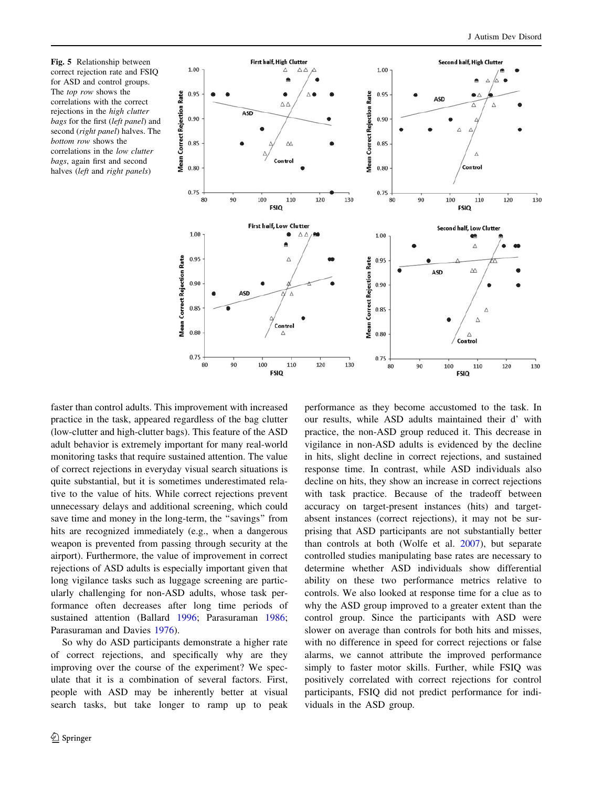<span id="page-7-0"></span>Fig. 5 Relationship between correct rejection rate and FSIQ for ASD and control groups. The top row shows the correlations with the correct rejections in the high clutter bags for the first (left panel) and second (*right panel*) halves. The bottom row shows the correlations in the low clutter bags, again first and second halves (left and right panels)



faster than control adults. This improvement with increased practice in the task, appeared regardless of the bag clutter (low-clutter and high-clutter bags). This feature of the ASD adult behavior is extremely important for many real-world monitoring tasks that require sustained attention. The value of correct rejections in everyday visual search situations is quite substantial, but it is sometimes underestimated relative to the value of hits. While correct rejections prevent unnecessary delays and additional screening, which could save time and money in the long-term, the ''savings'' from hits are recognized immediately (e.g., when a dangerous weapon is prevented from passing through security at the airport). Furthermore, the value of improvement in correct rejections of ASD adults is especially important given that long vigilance tasks such as luggage screening are particularly challenging for non-ASD adults, whose task performance often decreases after long time periods of sustained attention (Ballard [1996;](#page-8-0) Parasuraman [1986](#page-9-0); Parasuraman and Davies [1976\)](#page-9-0).

So why do ASD participants demonstrate a higher rate of correct rejections, and specifically why are they improving over the course of the experiment? We speculate that it is a combination of several factors. First, people with ASD may be inherently better at visual search tasks, but take longer to ramp up to peak performance as they become accustomed to the task. In our results, while ASD adults maintained their d' with practice, the non-ASD group reduced it. This decrease in vigilance in non-ASD adults is evidenced by the decline in hits, slight decline in correct rejections, and sustained response time. In contrast, while ASD individuals also decline on hits, they show an increase in correct rejections with task practice. Because of the tradeoff between accuracy on target-present instances (hits) and targetabsent instances (correct rejections), it may not be surprising that ASD participants are not substantially better than controls at both (Wolfe et al. [2007](#page-9-0)), but separate controlled studies manipulating base rates are necessary to determine whether ASD individuals show differential ability on these two performance metrics relative to controls. We also looked at response time for a clue as to why the ASD group improved to a greater extent than the control group. Since the participants with ASD were slower on average than controls for both hits and misses, with no difference in speed for correct rejections or false alarms, we cannot attribute the improved performance simply to faster motor skills. Further, while FSIQ was positively correlated with correct rejections for control participants, FSIQ did not predict performance for individuals in the ASD group.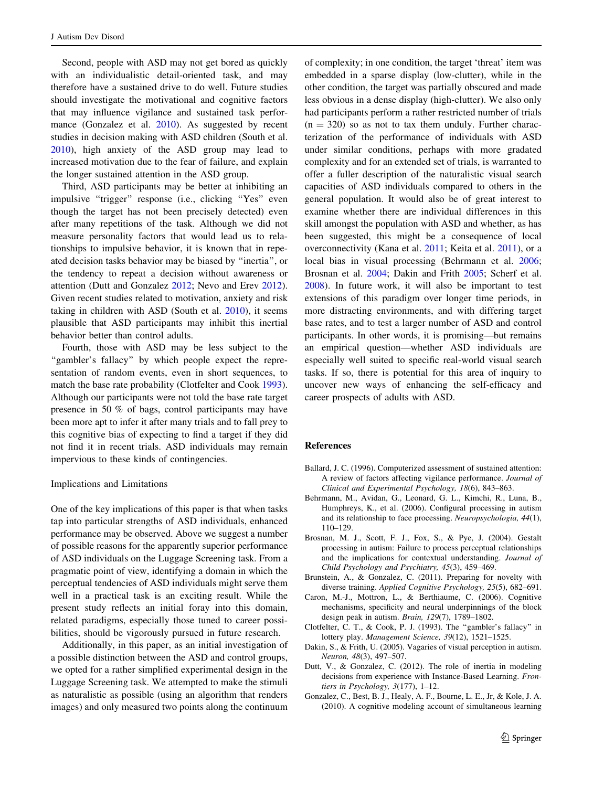<span id="page-8-0"></span>Second, people with ASD may not get bored as quickly with an individualistic detail-oriented task, and may therefore have a sustained drive to do well. Future studies should investigate the motivational and cognitive factors that may influence vigilance and sustained task performance (Gonzalez et al. 2010). As suggested by recent studies in decision making with ASD children (South et al. [2010\)](#page-9-0), high anxiety of the ASD group may lead to increased motivation due to the fear of failure, and explain the longer sustained attention in the ASD group.

Third, ASD participants may be better at inhibiting an impulsive "trigger" response (i.e., clicking "Yes" even though the target has not been precisely detected) even after many repetitions of the task. Although we did not measure personality factors that would lead us to relationships to impulsive behavior, it is known that in repeated decision tasks behavior may be biased by ''inertia'', or the tendency to repeat a decision without awareness or attention (Dutt and Gonzalez 2012; Nevo and Erev [2012](#page-9-0)). Given recent studies related to motivation, anxiety and risk taking in children with ASD (South et al. [2010](#page-9-0)), it seems plausible that ASD participants may inhibit this inertial behavior better than control adults.

Fourth, those with ASD may be less subject to the "gambler's fallacy" by which people expect the representation of random events, even in short sequences, to match the base rate probability (Clotfelter and Cook 1993). Although our participants were not told the base rate target presence in 50 % of bags, control participants may have been more apt to infer it after many trials and to fall prey to this cognitive bias of expecting to find a target if they did not find it in recent trials. ASD individuals may remain impervious to these kinds of contingencies.

#### Implications and Limitations

One of the key implications of this paper is that when tasks tap into particular strengths of ASD individuals, enhanced performance may be observed. Above we suggest a number of possible reasons for the apparently superior performance of ASD individuals on the Luggage Screening task. From a pragmatic point of view, identifying a domain in which the perceptual tendencies of ASD individuals might serve them well in a practical task is an exciting result. While the present study reflects an initial foray into this domain, related paradigms, especially those tuned to career possibilities, should be vigorously pursued in future research.

Additionally, in this paper, as an initial investigation of a possible distinction between the ASD and control groups, we opted for a rather simplified experimental design in the Luggage Screening task. We attempted to make the stimuli as naturalistic as possible (using an algorithm that renders images) and only measured two points along the continuum

of complexity; in one condition, the target 'threat' item was embedded in a sparse display (low-clutter), while in the other condition, the target was partially obscured and made less obvious in a dense display (high-clutter). We also only had participants perform a rather restricted number of trials  $(n = 320)$  so as not to tax them unduly. Further characterization of the performance of individuals with ASD under similar conditions, perhaps with more gradated complexity and for an extended set of trials, is warranted to offer a fuller description of the naturalistic visual search capacities of ASD individuals compared to others in the general population. It would also be of great interest to examine whether there are individual differences in this skill amongst the population with ASD and whether, as has been suggested, this might be a consequence of local overconnectivity (Kana et al. [2011;](#page-9-0) Keita et al. [2011\)](#page-9-0), or a local bias in visual processing (Behrmann et al. 2006; Brosnan et al. 2004; Dakin and Frith 2005; Scherf et al. [2008](#page-9-0)). In future work, it will also be important to test extensions of this paradigm over longer time periods, in more distracting environments, and with differing target base rates, and to test a larger number of ASD and control participants. In other words, it is promising—but remains an empirical question—whether ASD individuals are especially well suited to specific real-world visual search tasks. If so, there is potential for this area of inquiry to uncover new ways of enhancing the self-efficacy and career prospects of adults with ASD.

#### References

- Ballard, J. C. (1996). Computerized assessment of sustained attention: A review of factors affecting vigilance performance. Journal of Clinical and Experimental Psychology, 18(6), 843–863.
- Behrmann, M., Avidan, G., Leonard, G. L., Kimchi, R., Luna, B., Humphreys, K., et al. (2006). Configural processing in autism and its relationship to face processing. Neuropsychologia, 44(1), 110–129.
- Brosnan, M. J., Scott, F. J., Fox, S., & Pye, J. (2004). Gestalt processing in autism: Failure to process perceptual relationships and the implications for contextual understanding. Journal of Child Psychology and Psychiatry, 45(3), 459–469.
- Brunstein, A., & Gonzalez, C. (2011). Preparing for novelty with diverse training. Applied Cognitive Psychology, 25(5), 682–691.
- Caron, M.-J., Mottron, L., & Berthiaume, C. (2006). Cognitive mechanisms, specificity and neural underpinnings of the block design peak in autism. Brain, 129(7), 1789–1802.
- Clotfelter, C. T., & Cook, P. J. (1993). The ''gambler's fallacy'' in lottery play. Management Science, 39(12), 1521–1525.
- Dakin, S., & Frith, U. (2005). Vagaries of visual perception in autism. Neuron, 48(3), 497–507.
- Dutt, V., & Gonzalez, C. (2012). The role of inertia in modeling decisions from experience with Instance-Based Learning. Frontiers in Psychology, 3(177), 1–12.
- Gonzalez, C., Best, B. J., Healy, A. F., Bourne, L. E., Jr, & Kole, J. A. (2010). A cognitive modeling account of simultaneous learning